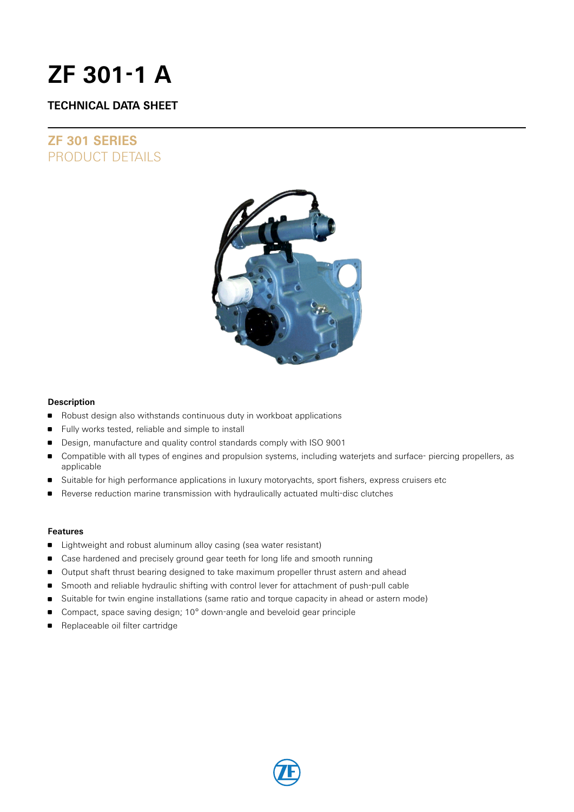# **ZF 301-1 A**

### **TECHNICAL DATA SHEET**

## **ZF 301 SERIES** PRODUCT DETAILS



### **Description**

- **B** Robust design also withstands continuous duty in workboat applications
- **Fully works tested, reliable and simple to install**
- Design, manufacture and quality control standards comply with ISO 9001
- Compatible with all types of engines and propulsion systems, including waterjets and surface- piercing propellers, as applicable
- Suitable for high performance applications in luxury motoryachts, sport fishers, express cruisers etc
- Reverse reduction marine transmission with hydraulically actuated multi-disc clutches

### **Features**

- **EXTENDI** Lightweight and robust aluminum alloy casing (sea water resistant)
- **Case hardened and precisely ground gear teeth for long life and smooth running**
- Output shaft thrust bearing designed to take maximum propeller thrust astern and ahead
- **Smooth and reliable hydraulic shifting with control lever for attachment of push-pull cable**
- **Suitable for twin engine installations (same ratio and torque capacity in ahead or astern mode)**
- Compact, space saving design; 10° down-angle and beveloid gear principle
- Replaceable oil filter cartridge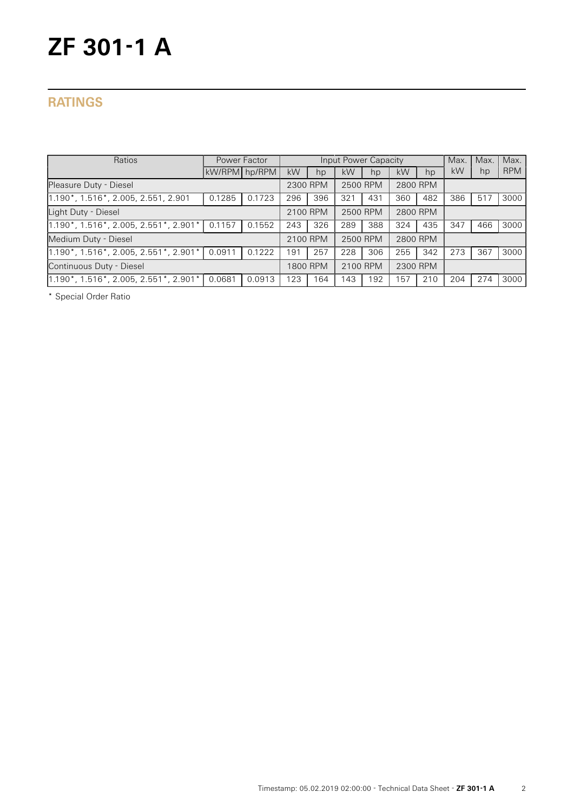# **ZF 301-1 A**

## **RATINGS**

| Power Factor<br>Ratios                                            |               |        | <b>Input Power Capacity</b> |          |          |          |          |          | Max. | Max. | Max.       |
|-------------------------------------------------------------------|---------------|--------|-----------------------------|----------|----------|----------|----------|----------|------|------|------------|
|                                                                   | kW/RPM hp/RPM |        | kW                          | hp       | kW       | hp       | kW       | hp       | kW   | hp   | <b>RPM</b> |
| Pleasure Duty - Diesel                                            | 2300 RPM      |        | 2500 RPM                    |          | 2800 RPM |          |          |          |      |      |            |
| 1.190*, 1.516*, 2.005, 2.551, 2.901                               | 0.1285        | 0.1723 | 296                         | 396      | 321      | 431      | 360      | 482      | 386  | 517  | 3000       |
| Light Duty - Diesel                                               |               |        |                             | 2100 RPM |          | 2500 RPM |          | 2800 RPM |      |      |            |
| $1.190^*$ , $1.516^*$ , 2.005, 2.551 $^*$ , 2.901 $^*$            | 0.1157        | 0.1552 | 243                         | 326      | 289      | 388      | 324      | 435      | 347  | 466  | 3000       |
| Medium Duty - Diesel                                              |               |        |                             | 2100 RPM |          | 2500 RPM |          | 2800 RPM |      |      |            |
| $1.190^*$ , $1.\overline{516}^*$ , 2.005, 2.551 $^*$ , 2.901 $^*$ | 0.0911        | 0.1222 | 191                         | 257      | 228      | 306      | 255      | 342      | 273  | 367  | 3000       |
| Continuous Duty - Diesel                                          |               |        |                             | 1800 RPM | 2100 RPM |          | 2300 RPM |          |      |      |            |
| 1.190*, 1.516*, 2.005, 2.551*, 2.901*                             | 0.0681        | 0.0913 | 123                         | 164      | 143      | 192      | 157      | 210      | 204  | 274  | 3000       |

\* Special Order Ratio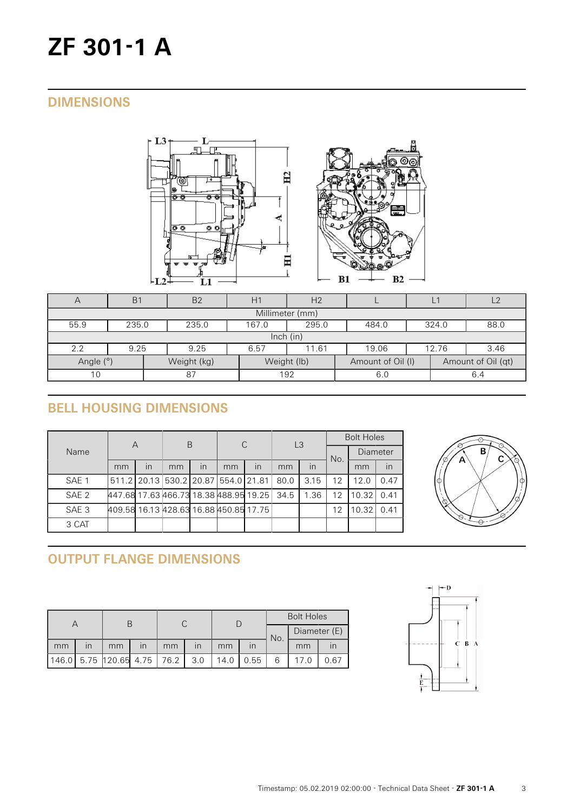# **ZF 301-1 A**

## **DIMENSIONS**





| $\forall$                                                                          | B <sub>1</sub>                                             | <b>B2</b> | H | H <sub>2</sub> |     |  |     | $\overline{2}$ |  |  |  |
|------------------------------------------------------------------------------------|------------------------------------------------------------|-----------|---|----------------|-----|--|-----|----------------|--|--|--|
| Millimeter (mm)                                                                    |                                                            |           |   |                |     |  |     |                |  |  |  |
| 55.9                                                                               | 295.0<br>235.0<br>167.0<br>235.0<br>324.0<br>88.0<br>484.0 |           |   |                |     |  |     |                |  |  |  |
| lnch (in)                                                                          |                                                            |           |   |                |     |  |     |                |  |  |  |
| 2.2                                                                                | 9.25<br>3.46<br>9.25<br>12.76<br>6.57<br>19.06<br>11.61    |           |   |                |     |  |     |                |  |  |  |
| Angle (°)<br>Weight (lb)<br>Weight (kg)<br>Amount of Oil (I)<br>Amount of Oil (qt) |                                                            |           |   |                |     |  |     |                |  |  |  |
| 10                                                                                 |                                                            | 87        |   | 192            | 6.0 |  | 6.4 |                |  |  |  |

# **BELL HOUSING DIMENSIONS**

|                  | А                                      |                         | B                                   |    | C  |    | L3   |      | <b>Bolt Holes</b> |                 |      |
|------------------|----------------------------------------|-------------------------|-------------------------------------|----|----|----|------|------|-------------------|-----------------|------|
| Name             |                                        |                         |                                     |    |    |    |      |      | No.               | <b>Diameter</b> |      |
|                  | mm                                     | $\overline{\mathsf{I}}$ | mm                                  | In | mm | in | mm   | in   |                   | mm              | in   |
| SAE 1            |                                        |                         | 511.2 20.13 530.2 20.87 554.0 21.81 |    |    |    | 80.0 | 3.15 | 12                | 12.0            | 0.47 |
| SAE <sub>2</sub> | 447.68 17.63 466.73 18.38 488.95 19.25 |                         |                                     |    |    |    | 34.5 | 1.36 | 12                | 10.32           | 0.41 |
| SAE <sub>3</sub> | 409.58 16.13 428.63 16.88 450.85 17.75 |                         |                                     |    |    |    |      |      | 12                | 10.32           | 0.41 |
| 3 CAT            |                                        |                         |                                     |    |    |    |      |      |                   |                 |      |



# **OUTPUT FLANGE DIMENSIONS**

|    |                         |                             |                         |    |                         |      |      | <b>Bolt Holes</b> |              |      |  |
|----|-------------------------|-----------------------------|-------------------------|----|-------------------------|------|------|-------------------|--------------|------|--|
|    |                         |                             |                         |    |                         |      |      | No.               | Diameter (E) |      |  |
| mm | $\overline{\mathsf{I}}$ | mm                          | $\overline{\mathsf{I}}$ | mm | $\overline{\mathsf{I}}$ | mm   |      |                   | mm           |      |  |
|    |                         | 146.0 5.75 120.65 4.75 76.2 |                         |    | 3.0                     | 14.0 | 0.55 | 6                 |              | 0.67 |  |